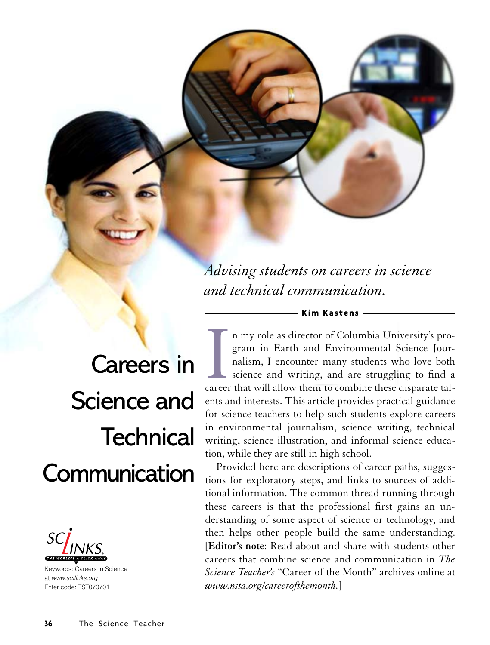*Advising students on careers in science and technical communication.*

# Careers in Science and **Technical Communication**



Keywords: Careers in Science at www.scilinks.org Enter code: TST070701

I a my role as director of Columbia University's program in Earth and Environmental Science Journalism, I encounter many students who love both science and writing, and are struggling to find a career that will allow them n my role as director of Columbia University's program in Earth and Environmental Science Journalism, I encounter many students who love both science and writing, and are struggling to find a ents and interests. This article provides practical guidance for science teachers to help such students explore careers in environmental journalism, science writing, technical writing, science illustration, and informal science education, while they are still in high school.

**Kim Kastens**

Provided here are descriptions of career paths, suggestions for exploratory steps, and links to sources of additional information. The common thread running through these careers is that the professional first gains an understanding of some aspect of science or technology, and then helps other people build the same understanding. [**Editor's note**: Read about and share with students other careers that combine science and communication in *The Science Teacher's* "Career of the Month" archives online at *www.nsta.org/careerofthemonth.*]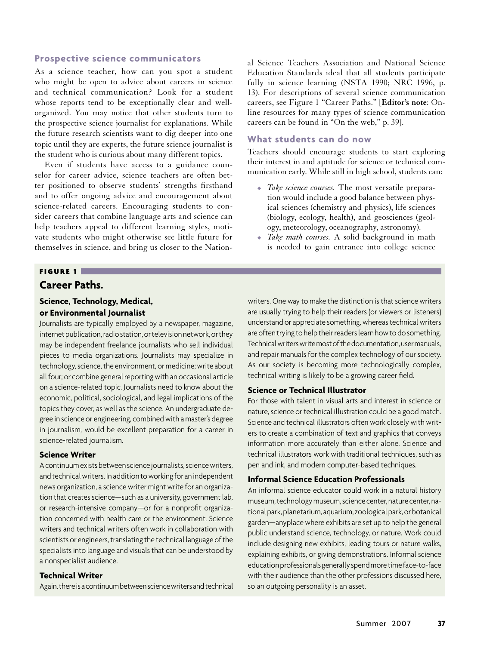## **Prospective science communicators**

As a science teacher, how can you spot a student who might be open to advice about careers in science and technical communication? Look for a student whose reports tend to be exceptionally clear and wellorganized. You may notice that other students turn to the prospective science journalist for explanations. While the future research scientists want to dig deeper into one topic until they are experts, the future science journalist is the student who is curious about many different topics.

Even if students have access to a guidance counselor for career advice, science teachers are often better positioned to observe students' strengths firsthand and to offer ongoing advice and encouragement about science-related careers. Encouraging students to consider careers that combine language arts and science can help teachers appeal to different learning styles, motivate students who might otherwise see little future for themselves in science, and bring us closer to the National Science Teachers Association and National Science Education Standards ideal that all students participate fully in science learning (NSTA 1990; NRC 1996, p. 13). For descriptions of several science communication careers, see Figure 1 "Career Paths." [**Editor's note**: Online resources for many types of science communication careers can be found in "On the web," p. 39].

#### **What students can do now**

Teachers should encourage students to start exploring their interest in and aptitude for science or technical communication early. While still in high school, students can:

- *Take science courses*. The most versatile preparation would include a good balance between physical sciences (chemistry and physics), life sciences (biology, ecology, health), and geosciences (geology, meteorology, oceanography, astronomy).
- <sup>V</sup> *Take math courses.* A solid background in math is needed to gain entrance into college science

#### FIGURE 1

# **Career Paths.**

# **Science, Technology, Medical, or Environmental Journalist**

Journalists are typically employed by a newspaper, magazine, internet publication, radio station, or television network, or they may be independent freelance journalists who sell individual pieces to media organizations. Journalists may specialize in technology, science, the environment, or medicine; write about all four; or combine general reporting with an occasional article on a science-related topic. Journalists need to know about the economic, political, sociological, and legal implications of the topics they cover, as well as the science. An undergraduate degree in science or engineering, combined with a master's degree in journalism, would be excellent preparation for a career in science-related journalism.

## **Science Writer**

A continuum exists between science journalists, science writers, and technical writers. In addition to working for an independent news organization, a science writer might write for an organization that creates science—such as a university, government lab, or research-intensive company—or for a nonprofit organization concerned with health care or the environment. Science writers and technical writers often work in collaboration with scientists or engineers, translating the technical language of the specialists into language and visuals that can be understood by a nonspecialist audience.

#### **Technical Writer**

Again, there is a continuum between science writers and technical

writers. One way to make the distinction is that science writers are usually trying to help their readers (or viewers or listeners) understand or appreciate something, whereas technical writers are often trying to help their readers learn how to do something. Technical writers write most of the documentation, user manuals, and repair manuals for the complex technology of our society. As our society is becoming more technologically complex, technical writing is likely to be a growing career field.

#### **Science or Technical Illustrator**

For those with talent in visual arts and interest in science or nature, science or technical illustration could be a good match. Science and technical illustrators often work closely with writers to create a combination of text and graphics that conveys information more accurately than either alone. Science and technical illustrators work with traditional techniques, such as pen and ink, and modern computer-based techniques.

## **Informal Science Education Professionals**

An informal science educator could work in a natural history museum, technology museum, science center, nature center, national park, planetarium, aquarium, zoological park, or botanical garden—anyplace where exhibits are set up to help the general public understand science, technology, or nature. Work could include designing new exhibits, leading tours or nature walks, explaining exhibits, or giving demonstrations. Informal science education professionals generally spend more time face-to-face with their audience than the other professions discussed here, so an outgoing personality is an asset.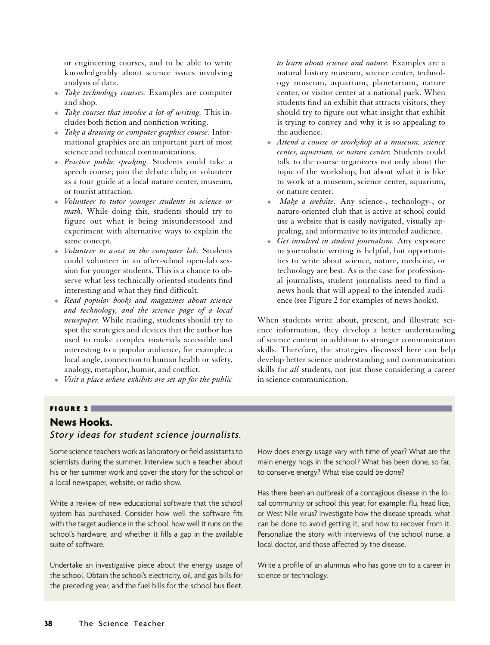or engineering courses, and to be able to write knowledgeably about science issues involving analysis of data.

- *Take technology courses*. Examples are computer and shop.
- *Take courses that involve a lot of writing*. This includes both fiction and nonfiction writing.
- <sup>V</sup> *Take a drawing or computer graphics course.* Informational graphics are an important part of most science and technical communications.
- <sup>V</sup> *Practice public speaking.* Students could take a speech course; join the debate club; or volunteer as a tour guide at a local nature center, museum, or tourist attraction.
- $\bullet$  *Volunteer to tutor younger students in science or math.* While doing this, students should try to figure out what is being misunderstood and experiment with alternative ways to explain the same concept.
- $\bullet$  *Volunteer to assist in the computer lab.* Students could volunteer in an after-school open-lab session for younger students. This is a chance to observe what less technically oriented students find interesting and what they find difficult.
- <sup>V</sup> *Read popular books and magazines about science and technology, and the science page of a local newspaper.* While reading, students should try to spot the strategies and devices that the author has used to make complex materials accessible and interesting to a popular audience, for example: a local angle, connection to human health or safety, analogy, metaphor, humor, and conflict.
- *Visit a place where exhibits are set up for the public*

*to learn about science and nature.* Examples are a natural history museum, science center, technology museum, aquarium, planetarium, nature center, or visitor center at a national park. When students find an exhibit that attracts visitors, they should try to figure out what insight that exhibit is trying to convey and why it is so appealing to the audience.

- <sup>V</sup> *Attend a course or workshop at a museum, science center, aquarium, or nature center.* Students could talk to the course organizers not only about the topic of the workshop, but about what it is like to work at a museum, science center, aquarium, or nature center.
- <sup>V</sup> *Make a website.* Any science-, technology-, or nature-oriented club that is active at school could use a website that is easily navigated, visually appealing, and informative to its intended audience.
- <sup>V</sup> *Get involved in student journalism.* Any exposure to journalistic writing is helpful, but opportunities to write about science, nature, medicine, or technology are best. As is the case for professional journalists, student journalists need to find a news hook that will appeal to the intended audience (see Figure 2 for examples of news hooks).

When students write about, present, and illustrate science information, they develop a better understanding of science content in addition to stronger communication skills. Therefore, the strategies discussed here can help develop better science understanding and communication skills for *all* students, not just those considering a career in science communication.

#### FIGURE 2

# **News Hooks.**

# *Story ideas for student science journalists.*

Some science teachers work as laboratory or field assistants to scientists during the summer. Interview such a teacher about his or her summer work and cover the story for the school or a local newspaper, website, or radio show.

Write a review of new educational software that the school system has purchased. Consider how well the software fits with the target audience in the school, how well it runs on the school's hardware, and whether it fills a gap in the available suite of software.

Undertake an investigative piece about the energy usage of the school. Obtain the school's electricity, oil, and gas bills for the preceding year, and the fuel bills for the school bus fleet.

How does energy usage vary with time of year? What are the main energy hogs in the school? What has been done, so far, to conserve energy? What else could be done?

Has there been an outbreak of a contagious disease in the local community or school this year, for example: flu, head lice, or West Nile virus? Investigate how the disease spreads, what can be done to avoid getting it, and how to recover from it. Personalize the story with interviews of the school nurse, a local doctor, and those affected by the disease.

Write a profile of an alumnus who has gone on to a career in science or technology.